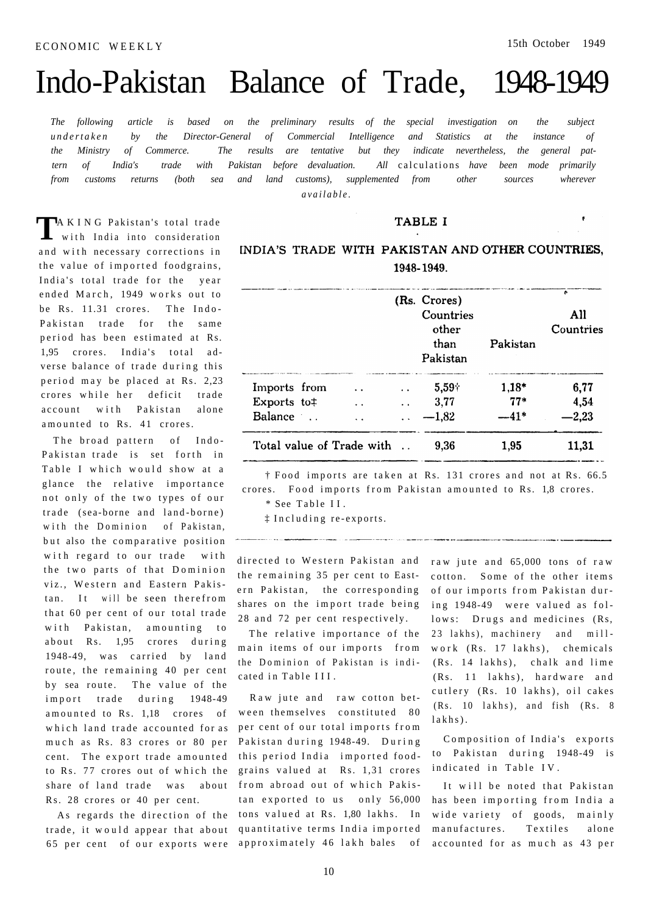$\pmb{\epsilon}$ 

# Indo-Pakistan Balance of Trade, 1948-1949

*The following article is based on the preliminary results of the special investigation on the subject undertake n by the Director-General of Commercial Intelligence and Statistics at the instance of the Ministry of Commerce. The results are tentative but they indicate nevertheless, the general pattern of India's trade with Pakistan before devaluation. All* calculations *have been mode primarily from customs returns (both sea and land customs), supplemented from other sources wherever available .* 

**TAKING Pakistan's total trade** with India into consideration with India into consideration and with necessary corrections in the value of imported foodgrains, India's total trade for the year ended March, 1949 works out to be Rs. 11.31 crores. The Indo-Pakistan trade for the same period has been estimated at Rs. 1,95 crores. India's total adverse balance of trade during this period may be placed at Rs. 2,23 crores while her deficit trade account with Pakistan alone amounted to Rs. 41 crores.

The broad pattern of Indo-Pakistan trade is set forth in Table I which would show at a glance the relative importance not only of the two types of our trade (sea-borne and land-borne) with the Dominion of Pakistan, but also the comparative position with regard to our trade with the two parts of that Dominion viz., Western and Eastern Pakistan. It will be seen therefrom that 60 per cent of our total trade with Pakistan, amounting to about Rs. 1,95 crores during 1948-49, was carried by land route, the remaining 40 per cent by sea route. The value of the import trade during 1948-49 amounted to Rs. 1,18 crores of which land trade accounted for as much as Rs. 83 crores or 80 per cent. The export trade amounted to Rs. 77 crores out of which the share of land trade was about Rs. 28 crores or 40 per cent.

**TABLE I** 

# INDIA'S TRADE WITH PAKISTAN AND OTHER COUNTRIES. 1948-1949.

|                           |                      | (Rs. Crores)<br>Countries<br>other<br>than<br>Pakistan | Pakistan | ÷<br>All<br>Countries |
|---------------------------|----------------------|--------------------------------------------------------|----------|-----------------------|
| Imports from              | $\ddot{\phantom{a}}$ | $5,59 +$                                               | $1,18*$  | 6,77                  |
| Exports to#               | . .                  | 3,77                                                   | $77*$    | 4,54                  |
| Balance                   |                      | $-1,82$                                                | --41*    | 2,23                  |
| Total value of Trade with |                      | 9,36                                                   | 1,95     | 11,31                 |

<sup>†</sup> Food imports are taken at Rs. 131 crores and not at Rs. 66.5 crores. Food imports from Pakistan amounted to Rs. 1,8 crores.

\* See Table II.

 $\ddagger$  Including re-exports.

directed to Western Pakistan and raw jute and 65,000 tons of raw the remaining 35 per cent to Eastern Pakistan, the corresponding shares on the import trade being 28 and 72 per cent respectively.

The relative importance of the main items of our imports from the Dominion of Pakistan is indicated in Table III.

As regards the direction of the tons valued at Rs. 1,80 lakhs. In trade, it would appear that about quantitative terms India imported 65 per cent of our exports were approximately 46 lakh bales of Raw jute and raw cotton between themselves constituted 80 per cent of our total imports from Pakistan during 1948-49. During this period India imported foodgrains valued at Rs. 1,31 crores from abroad out of which Pakistan exported to us only 56,000

cotton. Some of the other items of our imports from Pakistan during 1948-49 were valued as follows: Drugs and medicines (Rs, 23 lakhs), machinery and millwork (Rs. 17 lakhs), chemicals  $(Rs. 14$  lakhs), chalk and lime (Rs. 11 lakhs), hardware and cutlery (Rs. 10 lakhs), oil cakes  $(Rs. 10 \text{lakhs}), \text{and} \text{fish} \quad (Rs. 8$ lakhs) .

Composition of India's exports to Pakistan during 1948-49 is indicated in Table IV.

It will be noted that Pakistan has been importing from India a wide variety of goods, mainly manufactures. Textiles alone accounted for as much as 43 per